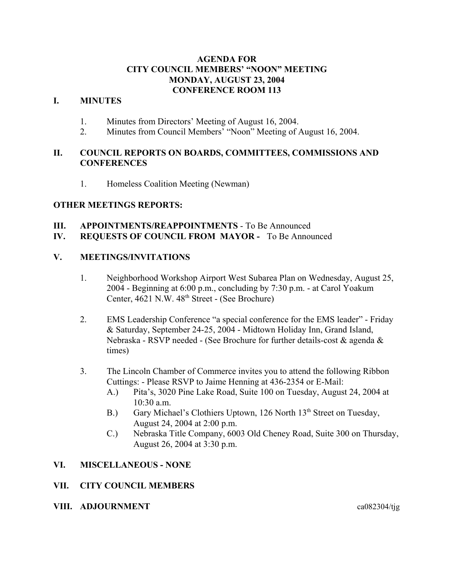## **AGENDA FOR CITY COUNCIL MEMBERS' "NOON" MEETING MONDAY, AUGUST 23, 2004 CONFERENCE ROOM 113**

### **I. MINUTES**

- 1. Minutes from Directors' Meeting of August 16, 2004.
- 2. Minutes from Council Members' "Noon" Meeting of August 16, 2004.

### **II. COUNCIL REPORTS ON BOARDS, COMMITTEES, COMMISSIONS AND CONFERENCES**

1. Homeless Coalition Meeting (Newman)

## **OTHER MEETINGS REPORTS:**

### **III. APPOINTMENTS/REAPPOINTMENTS** - To Be Announced

### **IV. REQUESTS OF COUNCIL FROM MAYOR -** To Be Announced

### **V. MEETINGS/INVITATIONS**

- 1. Neighborhood Workshop Airport West Subarea Plan on Wednesday, August 25, 2004 - Beginning at 6:00 p.m., concluding by 7:30 p.m. - at Carol Yoakum Center, 4621 N.W. 48<sup>th</sup> Street - (See Brochure)
- 2. EMS Leadership Conference "a special conference for the EMS leader" Friday & Saturday, September 24-25, 2004 - Midtown Holiday Inn, Grand Island, Nebraska - RSVP needed - (See Brochure for further details-cost & agenda & times)
- 3. The Lincoln Chamber of Commerce invites you to attend the following Ribbon Cuttings: - Please RSVP to Jaime Henning at 436-2354 or E-Mail:
	- A.) Pita's, 3020 Pine Lake Road, Suite 100 on Tuesday, August 24, 2004 at 10:30 a.m.
	- B.) Gary Michael's Clothiers Uptown, 126 North 13<sup>th</sup> Street on Tuesday, August 24, 2004 at 2:00 p.m.
	- C.) Nebraska Title Company, 6003 Old Cheney Road, Suite 300 on Thursday, August 26, 2004 at 3:30 p.m.

## **VI. MISCELLANEOUS - NONE**

## **VII. CITY COUNCIL MEMBERS**

#### **VIII. ADJOURNMENT** ca082304/tjg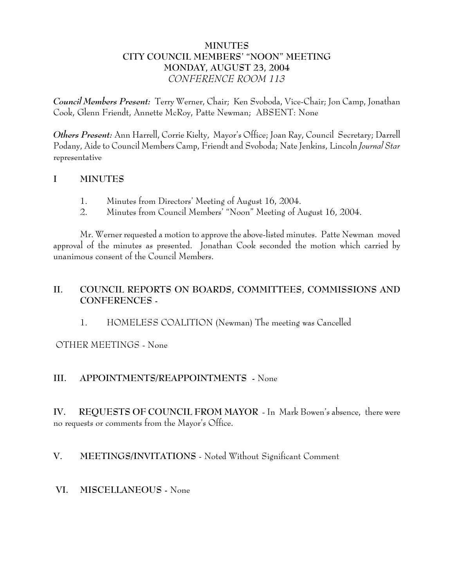# **MINUTES CITY COUNCIL MEMBERS' "NOON" MEETING MONDAY, AUGUST 23, 2004** *CONFERENCE ROOM 113*

*Council Members Present:* Terry Werner, Chair; Ken Svoboda, Vice-Chair; Jon Camp, Jonathan Cook, Glenn Friendt, Annette McRoy, Patte Newman; ABSENT: None

*Others Present:* Ann Harrell, Corrie Kielty, Mayor's Office; Joan Ray, Council Secretary; Darrell Podany, Aide to Council Members Camp, Friendt and Svoboda; Nate Jenkins, Lincoln *Journal Star* representative

# **I MINUTES**

- 1. Minutes from Directors' Meeting of August 16, 2004.
- 2. Minutes from Council Members' "Noon" Meeting of August 16, 2004.

Mr. Werner requested a motion to approve the above-listed minutes. Patte Newman moved approval of the minutes as presented. Jonathan Cook seconded the motion which carried by unanimous consent of the Council Members.

# **II. COUNCIL REPORTS ON BOARDS, COMMITTEES, COMMISSIONS AND CONFERENCES -**

1. HOMELESS COALITION (Newman) The meeting was Cancelled

## OTHER MEETINGS - None

## **III. APPOINTMENTS/REAPPOINTMENTS -** None

**IV. REQUESTS OF COUNCIL FROM MAYOR** - In Mark Bowen's absence, there were no requests or comments from the Mayor's Office.

# **V. MEETINGS/INVITATIONS** - Noted Without Significant Comment

## **VI. MISCELLANEOUS -** None